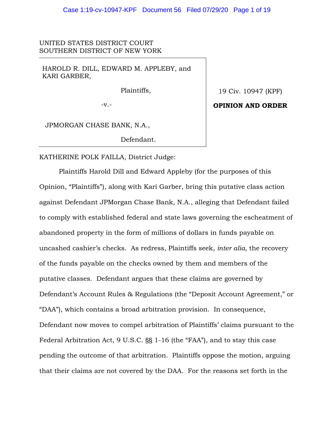UNITED STATES DISTRICT COURT SOUTHERN DISTRICT OF NEW YORK

HAROLD R. DILL, EDWARD M. APPLEBY, and KARI GARBER,

Plaintiffs,

19 Civ. 10947 (KPF)

**OPINION AND ORDER**

-v.-

JPMORGAN CHASE BANK, N.A.,

Defendant.

KATHERINE POLK FAILLA, District Judge:

Plaintiffs Harold Dill and Edward Appleby (for the purposes of this Opinion, "Plaintiffs"), along with Kari Garber, bring this putative class action against Defendant JPMorgan Chase Bank, N.A., alleging that Defendant failed to comply with established federal and state laws governing the escheatment of abandoned property in the form of millions of dollars in funds payable on uncashed cashier's checks. As redress, Plaintiffs seek, *inter alia*, the recovery of the funds payable on the checks owned by them and members of the putative classes. Defendant argues that these claims are governed by Defendant's Account Rules & Regulations (the "Deposit Account Agreement," or "DAA"), which contains a broad arbitration provision. In consequence, Defendant now moves to compel arbitration of Plaintiffs' claims pursuant to the Federal Arbitration Act, 9 U.S.C. §§ 1-16 (the "FAA"), and to stay this case pending the outcome of that arbitration. Plaintiffs oppose the motion, arguing that their claims are not covered by the DAA. For the reasons set forth in the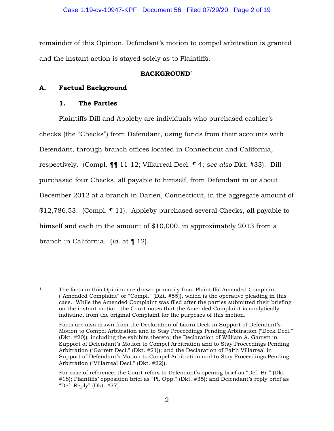remainder of this Opinion, Defendant's motion to compel arbitration is granted and the instant action is stayed solely as to Plaintiffs.

# **BACKGROUND**<sup>1</sup>

# **A. Factual Background**

# **1. The Parties**

Plaintiffs Dill and Appleby are individuals who purchased cashier's checks (the "Checks") from Defendant, using funds from their accounts with Defendant, through branch offices located in Connecticut and California, respectively. (Compl. ¶¶ 11-12; Villarreal Decl. ¶ 4; *see also* Dkt. #33). Dill purchased four Checks, all payable to himself, from Defendant in or about December 2012 at a branch in Darien, Connecticut, in the aggregate amount of \$12,786.53. (Compl. ¶ 11). Appleby purchased several Checks, all payable to himself and each in the amount of \$10,000, in approximately 2013 from a branch in California. (*Id.* at ¶ 12).

<sup>&</sup>lt;sup>1</sup> The facts in this Opinion are drawn primarily from Plaintiffs' Amended Complaint ("Amended Complaint" or "Compl." (Dkt. #55)), which is the operative pleading in this case. While the Amended Complaint was filed after the parties submitted their briefing on the instant motion, the Court notes that the Amended Complaint is analytically indistinct from the original Complaint for the purposes of this motion.

Facts are also drawn from the Declaration of Laura Deck in Support of Defendant's Motion to Compel Arbitration and to Stay Proceedings Pending Arbitration ("Deck Decl." (Dkt. #20)), including the exhibits thereto; the Declaration of William A. Garrett in Support of Defendant's Motion to Compel Arbitration and to Stay Proceedings Pending Arbitration ("Garrett Decl." (Dkt. #21)); and the Declaration of Faith Villarreal in Support of Defendant's Motion to Compel Arbitration and to Stay Proceedings Pending Arbitration ("Villarreal Decl." (Dkt. #22)).

For ease of reference, the Court refers to Defendant's opening brief as "Def. Br." (Dkt. #18); Plaintiffs' opposition brief as "Pl. Opp." (Dkt. #35); and Defendant's reply brief as "Def. Reply" (Dkt. #37).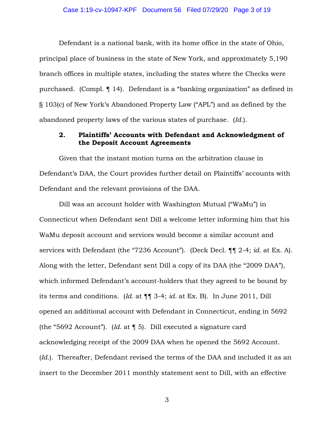#### Case 1:19-cv-10947-KPF Document 56 Filed 07/29/20 Page 3 of 19

Defendant is a national bank, with its home office in the state of Ohio, principal place of business in the state of New York, and approximately 5,190 branch offices in multiple states, including the states where the Checks were purchased. (Compl. ¶ 14). Defendant is a "banking organization" as defined in § 103(c) of New York's Abandoned Property Law ("APL") and as defined by the abandoned property laws of the various states of purchase. (*Id.*).

## **2. Plaintiffs' Accounts with Defendant and Acknowledgment of the Deposit Account Agreements**

Given that the instant motion turns on the arbitration clause in Defendant's DAA, the Court provides further detail on Plaintiffs' accounts with Defendant and the relevant provisions of the DAA.

Dill was an account holder with Washington Mutual ("WaMu") in Connecticut when Defendant sent Dill a welcome letter informing him that his WaMu deposit account and services would become a similar account and services with Defendant (the "7236 Account"). (Deck Decl. ¶¶ 2-4; *id.* at Ex. A). Along with the letter, Defendant sent Dill a copy of its DAA (the "2009 DAA"), which informed Defendant's account-holders that they agreed to be bound by its terms and conditions. (*Id.* at ¶¶ 3-4; *id.* at Ex. B). In June 2011, Dill opened an additional account with Defendant in Connecticut, ending in 5692 (the "5692 Account"). (*Id.* at ¶ 5). Dill executed a signature card acknowledging receipt of the 2009 DAA when he opened the 5692 Account. (*Id.*). Thereafter, Defendant revised the terms of the DAA and included it as an insert to the December 2011 monthly statement sent to Dill, with an effective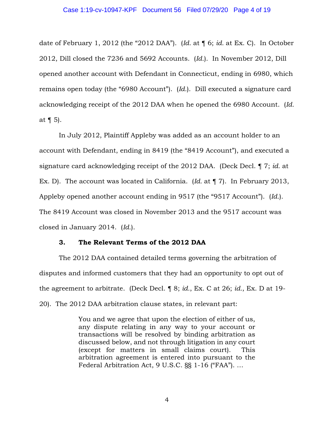date of February 1, 2012 (the "2012 DAA"). (*Id.* at ¶ 6; *id.* at Ex. C). In October 2012, Dill closed the 7236 and 5692 Accounts. (*Id.*). In November 2012, Dill opened another account with Defendant in Connecticut, ending in 6980, which remains open today (the "6980 Account"). (*Id.*). Dill executed a signature card acknowledging receipt of the 2012 DAA when he opened the 6980 Account. (*Id.* at  $\P$  5).

In July 2012, Plaintiff Appleby was added as an account holder to an account with Defendant, ending in 8419 (the "8419 Account"), and executed a signature card acknowledging receipt of the 2012 DAA. (Deck Decl. ¶ 7; *id.* at Ex. D). The account was located in California. (*Id.* at ¶ 7). In February 2013, Appleby opened another account ending in 9517 (the "9517 Account"). (*Id.*). The 8419 Account was closed in November 2013 and the 9517 account was closed in January 2014. (*Id.*).

### **3. The Relevant Terms of the 2012 DAA**

The 2012 DAA contained detailed terms governing the arbitration of disputes and informed customers that they had an opportunity to opt out of the agreement to arbitrate. (Deck Decl. ¶ 8; *id.*, Ex. C at 26; *id.*, Ex. D at 19- 20). The 2012 DAA arbitration clause states, in relevant part:

> You and we agree that upon the election of either of us, any dispute relating in any way to your account or transactions will be resolved by binding arbitration as discussed below, and not through litigation in any court (except for matters in small claims court). This arbitration agreement is entered into pursuant to the Federal Arbitration Act, 9 U.S.C. §§ 1-16 ("FAA"). …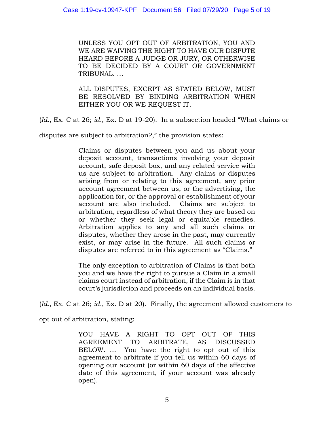UNLESS YOU OPT OUT OF ARBITRATION, YOU AND WE ARE WAIVING THE RIGHT TO HAVE OUR DISPUTE HEARD BEFORE A JUDGE OR JURY, OR OTHERWISE TO BE DECIDED BY A COURT OR GOVERNMENT TRIBUNAL. …

ALL DISPUTES, EXCEPT AS STATED BELOW, MUST BE RESOLVED BY BINDING ARBITRATION WHEN EITHER YOU OR WE REQUEST IT.

(*Id.*, Ex. C at 26; *id.*, Ex. D at 19-20). In a subsection headed "What claims or

disputes are subject to arbitration?," the provision states:

Claims or disputes between you and us about your deposit account, transactions involving your deposit account, safe deposit box, and any related service with us are subject to arbitration. Any claims or disputes arising from or relating to this agreement, any prior account agreement between us, or the advertising, the application for, or the approval or establishment of your account are also included. Claims are subject to arbitration, regardless of what theory they are based on or whether they seek legal or equitable remedies. Arbitration applies to any and all such claims or disputes, whether they arose in the past, may currently exist, or may arise in the future. All such claims or disputes are referred to in this agreement as "Claims."

The only exception to arbitration of Claims is that both you and we have the right to pursue a Claim in a small claims court instead of arbitration, if the Claim is in that court's jurisdiction and proceeds on an individual basis.

(*Id.*, Ex. C at 26; *id.*, Ex. D at 20). Finally, the agreement allowed customers to

opt out of arbitration, stating:

YOU HAVE A RIGHT TO OPT OUT OF THIS AGREEMENT TO ARBITRATE, AS DISCUSSED BELOW. … You have the right to opt out of this agreement to arbitrate if you tell us within 60 days of opening our account (or within 60 days of the effective date of this agreement, if your account was already open).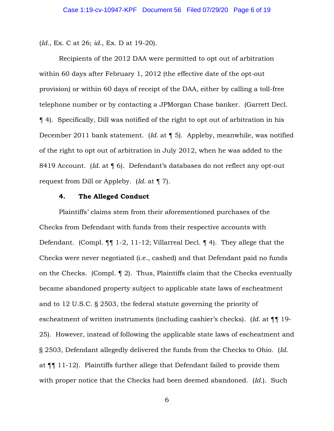(*Id.*, Ex. C at 26; *id.*, Ex. D at 19-20).

Recipients of the 2012 DAA were permitted to opt out of arbitration within 60 days after February 1, 2012 (the effective date of the opt-out provision) or within 60 days of receipt of the DAA, either by calling a toll-free telephone number or by contacting a JPMorgan Chase banker. (Garrett Decl. ¶ 4). Specifically, Dill was notified of the right to opt out of arbitration in his December 2011 bank statement. (*Id.* at ¶ 5). Appleby, meanwhile, was notified of the right to opt out of arbitration in July 2012, when he was added to the 8419 Account. (*Id.* at ¶ 6). Defendant's databases do not reflect any opt-out request from Dill or Appleby. (*Id.* at ¶ 7).

## **4. The Alleged Conduct**

Plaintiffs' claims stem from their aforementioned purchases of the Checks from Defendant with funds from their respective accounts with Defendant. (Compl. ¶¶ 1-2, 11-12; Villarreal Decl. ¶ 4). They allege that the Checks were never negotiated (i.e., cashed) and that Defendant paid no funds on the Checks. (Compl. ¶ 2). Thus, Plaintiffs claim that the Checks eventually became abandoned property subject to applicable state laws of escheatment and to 12 U.S.C. § 2503, the federal statute governing the priority of escheatment of written instruments (including cashier's checks). (*Id.* at ¶¶ 19- 25). However, instead of following the applicable state laws of escheatment and § 2503, Defendant allegedly delivered the funds from the Checks to Ohio. (*Id.*  at ¶¶ 11-12). Plaintiffs further allege that Defendant failed to provide them with proper notice that the Checks had been deemed abandoned. (*Id.*). Such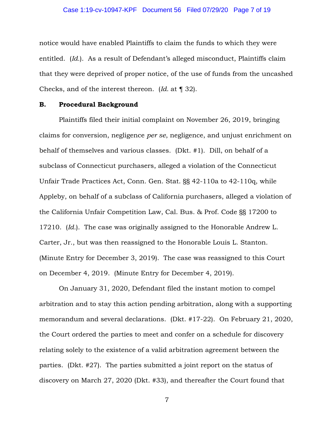## Case 1:19-cv-10947-KPF Document 56 Filed 07/29/20 Page 7 of 19

notice would have enabled Plaintiffs to claim the funds to which they were entitled. (*Id.*). As a result of Defendant's alleged misconduct, Plaintiffs claim that they were deprived of proper notice, of the use of funds from the uncashed Checks, and of the interest thereon. (*Id.* at ¶ 32).

### **B. Procedural Background**

Plaintiffs filed their initial complaint on November 26, 2019, bringing claims for conversion, negligence *per se*, negligence, and unjust enrichment on behalf of themselves and various classes. (Dkt. #1). Dill, on behalf of a subclass of Connecticut purchasers, alleged a violation of the Connecticut Unfair Trade Practices Act, Conn. Gen. Stat. §§ 42-110a to 42-110q, while Appleby, on behalf of a subclass of California purchasers, alleged a violation of the California Unfair Competition Law, Cal. Bus. & Prof. Code §§ 17200 to 17210. (*Id.*). The case was originally assigned to the Honorable Andrew L. Carter, Jr., but was then reassigned to the Honorable Louis L. Stanton. (Minute Entry for December 3, 2019). The case was reassigned to this Court on December 4, 2019. (Minute Entry for December 4, 2019).

On January 31, 2020, Defendant filed the instant motion to compel arbitration and to stay this action pending arbitration, along with a supporting memorandum and several declarations. (Dkt. #17-22). On February 21, 2020, the Court ordered the parties to meet and confer on a schedule for discovery relating solely to the existence of a valid arbitration agreement between the parties. (Dkt. #27). The parties submitted a joint report on the status of discovery on March 27, 2020 (Dkt. #33), and thereafter the Court found that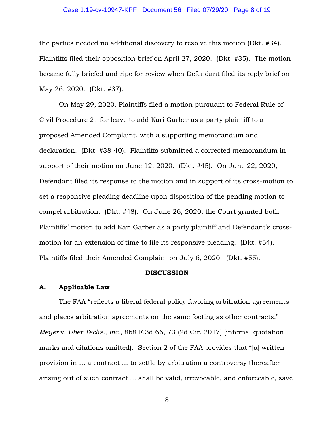## Case 1:19-cv-10947-KPF Document 56 Filed 07/29/20 Page 8 of 19

the parties needed no additional discovery to resolve this motion (Dkt. #34). Plaintiffs filed their opposition brief on April 27, 2020. (Dkt. #35). The motion became fully briefed and ripe for review when Defendant filed its reply brief on May 26, 2020. (Dkt. #37).

On May 29, 2020, Plaintiffs filed a motion pursuant to Federal Rule of Civil Procedure 21 for leave to add Kari Garber as a party plaintiff to a proposed Amended Complaint, with a supporting memorandum and declaration. (Dkt. #38-40). Plaintiffs submitted a corrected memorandum in support of their motion on June 12, 2020. (Dkt. #45). On June 22, 2020, Defendant filed its response to the motion and in support of its cross-motion to set a responsive pleading deadline upon disposition of the pending motion to compel arbitration. (Dkt. #48). On June 26, 2020, the Court granted both Plaintiffs' motion to add Kari Garber as a party plaintiff and Defendant's crossmotion for an extension of time to file its responsive pleading. (Dkt. #54). Plaintiffs filed their Amended Complaint on July 6, 2020. (Dkt. #55).

#### **DISCUSSION**

### **A. Applicable Law**

The FAA "reflects a liberal federal policy favoring arbitration agreements and places arbitration agreements on the same footing as other contracts." *Meyer* v. *Uber Techs., Inc.*, 868 F.3d 66, 73 (2d Cir. 2017) (internal quotation marks and citations omitted). Section 2 of the FAA provides that "[a] written provision in ... a contract ... to settle by arbitration a controversy thereafter arising out of such contract ... shall be valid, irrevocable, and enforceable, save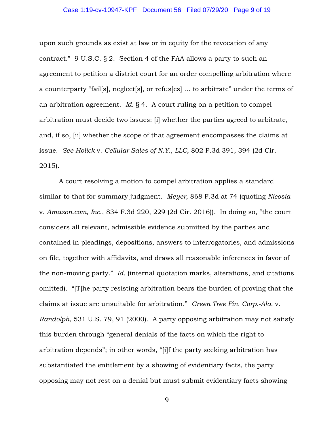## Case 1:19-cv-10947-KPF Document 56 Filed 07/29/20 Page 9 of 19

upon such grounds as exist at law or in equity for the revocation of any contract." 9 U.S.C. § 2. Section 4 of the FAA allows a party to such an agreement to petition a district court for an order compelling arbitration where a counterparty "fail[s], neglect[s], or refus[es] ... to arbitrate" under the terms of an arbitration agreement. *Id.* § 4. A court ruling on a petition to compel arbitration must decide two issues: [i] whether the parties agreed to arbitrate, and, if so, [ii] whether the scope of that agreement encompasses the claims at issue. *See Holick* v. *Cellular Sales of N.Y., LLC*, 802 F.3d 391, 394 (2d Cir. 2015).

A court resolving a motion to compel arbitration applies a standard similar to that for summary judgment. *Meyer*, 868 F.3d at 74 (quoting *Nicosia* v. *Amazon.com, Inc*., 834 F.3d 220, 229 (2d Cir. 2016)). In doing so, "the court considers all relevant, admissible evidence submitted by the parties and contained in pleadings, depositions, answers to interrogatories, and admissions on file, together with affidavits, and draws all reasonable inferences in favor of the non-moving party." *Id.* (internal quotation marks, alterations, and citations omitted). "[T]he party resisting arbitration bears the burden of proving that the claims at issue are unsuitable for arbitration." *Green Tree Fin. Corp.-Ala.* v. *Randolph*, 531 U.S. 79, 91 (2000). A party opposing arbitration may not satisfy this burden through "general denials of the facts on which the right to arbitration depends"; in other words, "[i]f the party seeking arbitration has substantiated the entitlement by a showing of evidentiary facts, the party opposing may not rest on a denial but must submit evidentiary facts showing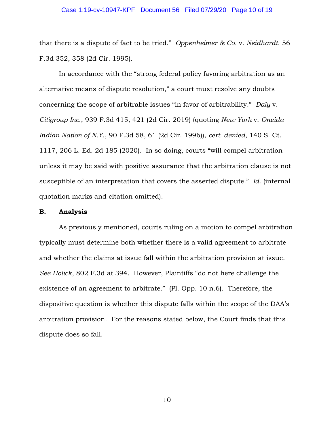## Case 1:19-cv-10947-KPF Document 56 Filed 07/29/20 Page 10 of 19

that there is a dispute of fact to be tried." *Oppenheimer & Co.* v. *Neidhardt*, 56 F.3d 352, 358 (2d Cir. 1995).

In accordance with the "strong federal policy favoring arbitration as an alternative means of dispute resolution," a court must resolve any doubts concerning the scope of arbitrable issues "in favor of arbitrability." *Daly* v. *Citigroup Inc*., 939 F.3d 415, 421 (2d Cir. 2019) (quoting *New York* v. *Oneida Indian Nation of N.Y*., 90 F.3d 58, 61 (2d Cir. 1996)), *cert. denied*, 140 S. Ct. 1117, 206 L. Ed. 2d 185 (2020). In so doing, courts "will compel arbitration unless it may be said with positive assurance that the arbitration clause is not susceptible of an interpretation that covers the asserted dispute." *Id.* (internal quotation marks and citation omitted).

#### **B. Analysis**

As previously mentioned, courts ruling on a motion to compel arbitration typically must determine both whether there is a valid agreement to arbitrate and whether the claims at issue fall within the arbitration provision at issue. *See Holick*, 802 F.3d at 394. However, Plaintiffs "do not here challenge the existence of an agreement to arbitrate." (Pl. Opp. 10 n.6). Therefore, the dispositive question is whether this dispute falls within the scope of the DAA's arbitration provision. For the reasons stated below, the Court finds that this dispute does so fall.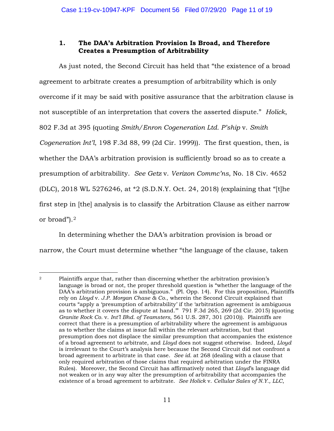# **1. The DAA's Arbitration Provision Is Broad, and Therefore Creates a Presumption of Arbitrability**

As just noted, the Second Circuit has held that "the existence of a broad agreement to arbitrate creates a presumption of arbitrability which is only overcome if it may be said with positive assurance that the arbitration clause is not susceptible of an interpretation that covers the asserted dispute." *Holick*, 802 F.3d at 395 (quoting *Smith/Enron Cogeneration Ltd. P'ship* v. *Smith Cogeneration Int'l*, 198 F.3d 88, 99 (2d Cir. 1999)). The first question, then, is whether the DAA's arbitration provision is sufficiently broad so as to create a presumption of arbitrability. *See Getz* v. *Verizon Commc'ns*, No. 18 Civ. 4652 (DLC), 2018 WL 5276246, at \*2 (S.D.N.Y. Oct. 24, 2018) (explaining that "[t]he first step in [the] analysis is to classify the Arbitration Clause as either narrow or broad").2

In determining whether the DAA's arbitration provision is broad or narrow, the Court must determine whether "the language of the clause, taken

<sup>2</sup> Plaintiffs argue that, rather than discerning whether the arbitration provision's language is broad or not, the proper threshold question is "whether the language of the DAA's arbitration provision is ambiguous." (Pl. Opp. 14). For this proposition, Plaintiffs rely on *Lloyd* v. *J.P. Morgan Chase & Co.*, wherein the Second Circuit explained that courts "apply a 'presumption of arbitrability' if the 'arbitration agreement is ambiguous as to whether it covers the dispute at hand.'" 791 F.3d 265, 269 (2d Cir. 2015) (quoting *Granite Rock Co.* v. *Int'l Bhd. of Teamsters*, 561 U.S. 287, 301 (2010)). Plaintiffs are correct that there is a presumption of arbitrability where the agreement is ambiguous as to whether the claims at issue fall within the relevant arbitration, but that presumption does not displace the similar presumption that accompanies the existence of a broad agreement to arbitrate, and *Lloyd* does not suggest otherwise. Indeed, *Lloyd* is irrelevant to the Court's analysis here because the Second Circuit did not confront a broad agreement to arbitrate in that case. *See id.* at 268 (dealing with a clause that only required arbitration of those claims that required arbitration under the FINRA Rules). Moreover, the Second Circuit has affirmatively noted that *Lloyd*'s language did not weaken or in any way alter the presumption of arbitrability that accompanies the existence of a broad agreement to arbitrate. *See Holick* v. *Cellular Sales of N.Y., LLC*,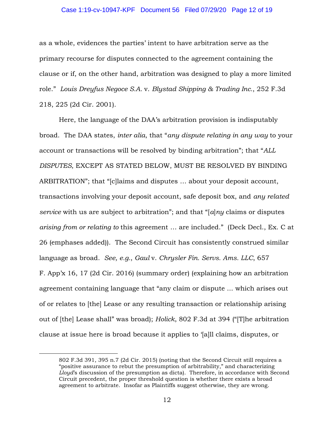### Case 1:19-cv-10947-KPF Document 56 Filed 07/29/20 Page 12 of 19

as a whole, evidences the parties' intent to have arbitration serve as the primary recourse for disputes connected to the agreement containing the clause or if, on the other hand, arbitration was designed to play a more limited role." *Louis Dreyfus Negoce S.A.* v. *Blystad Shipping & Trading Inc.*, 252 F.3d 218, 225 (2d Cir. 2001).

Here, the language of the DAA's arbitration provision is indisputably broad. The DAA states, *inter alia*, that "*any dispute relating in any way* to your account or transactions will be resolved by binding arbitration"; that "*ALL DISPUTES*, EXCEPT AS STATED BELOW, MUST BE RESOLVED BY BINDING ARBITRATION"; that "[c]laims and disputes … about your deposit account, transactions involving your deposit account, safe deposit box, and *any related service* with us are subject to arbitration"; and that "[*a*]*ny* claims or disputes *arising from or relating to* this agreement … are included." (Deck Decl., Ex. C at 26 (emphases added)). The Second Circuit has consistently construed similar language as broad. *See, e.g.*, *Gaul* v. *Chrysler Fin. Servs. Ams. LLC*, 657 F. App'x 16, 17 (2d Cir. 2016) (summary order) (explaining how an arbitration agreement containing language that "any claim or dispute ... which arises out of or relates to [the] Lease or any resulting transaction or relationship arising out of [the] Lease shall" was broad); *Holick*, 802 F.3d at 394 ("[T]he arbitration clause at issue here is broad because it applies to '[a]ll claims, disputes, or

<sup>802</sup> F.3d 391, 395 n.7 (2d Cir. 2015) (noting that the Second Circuit still requires a "positive assurance to rebut the presumption of arbitrability," and characterizing *Lloyd*'s discussion of the presumption as dicta). Therefore, in accordance with Second Circuit precedent, the proper threshold question is whether there exists a broad agreement to arbitrate. Insofar as Plaintiffs suggest otherwise, they are wrong.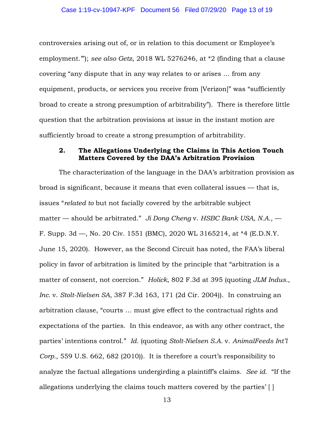controversies arising out of, or in relation to this document or Employee's employment.'"); *see also Getz*, 2018 WL 5276246, at \*2 (finding that a clause covering "any dispute that in any way relates to or arises … from any equipment, products, or services you receive from [Verizon]" was "sufficiently broad to create a strong presumption of arbitrability"). There is therefore little question that the arbitration provisions at issue in the instant motion are sufficiently broad to create a strong presumption of arbitrability.

## **2. The Allegations Underlying the Claims in This Action Touch Matters Covered by the DAA's Arbitration Provision**

The characterization of the language in the DAA's arbitration provision as broad is significant, because it means that even collateral issues — that is, issues "*related to* but not facially covered by the arbitrable subject matter — should be arbitrated." *Ji Dong Cheng* v. *HSBC Bank USA, N.A.*, — F. Supp. 3d —, No. 20 Civ. 1551 (BMC), 2020 WL 3165214, at \*4 (E.D.N.Y. June 15, 2020). However, as the Second Circuit has noted, the FAA's liberal policy in favor of arbitration is limited by the principle that "arbitration is a matter of consent, not coercion." *Holick*, 802 F.3d at 395 (quoting *JLM Indus., Inc.* v. *Stolt-Nielsen SA*, 387 F.3d 163, 171 (2d Cir. 2004)). In construing an arbitration clause, "courts … must give effect to the contractual rights and expectations of the parties. In this endeavor, as with any other contract, the parties' intentions control." *Id.* (quoting *Stolt-Nielsen S.A.* v. *AnimalFeeds Int'l Corp.*, 559 U.S. 662, 682 (2010)). It is therefore a court's responsibility to analyze the factual allegations undergirding a plaintiff's claims. *See id.* "If the allegations underlying the claims touch matters covered by the parties' [ ]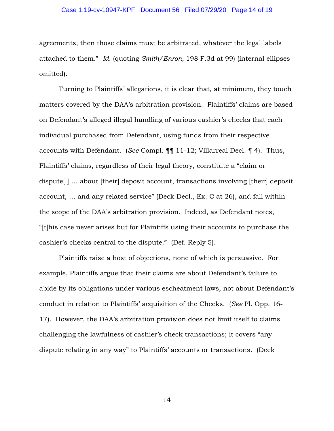#### Case 1:19-cv-10947-KPF Document 56 Filed 07/29/20 Page 14 of 19

agreements, then those claims must be arbitrated, whatever the legal labels attached to them." *Id.* (quoting *Smith/Enron*, 198 F.3d at 99) (internal ellipses omitted).

Turning to Plaintiffs' allegations, it is clear that, at minimum, they touch matters covered by the DAA's arbitration provision. Plaintiffs' claims are based on Defendant's alleged illegal handling of various cashier's checks that each individual purchased from Defendant, using funds from their respective accounts with Defendant. (*See* Compl. ¶¶ 11-12; Villarreal Decl. ¶ 4). Thus, Plaintiffs' claims, regardless of their legal theory, constitute a "claim or dispute[ ] … about [their] deposit account, transactions involving [their] deposit account, … and any related service" (Deck Decl., Ex. C at 26), and fall within the scope of the DAA's arbitration provision. Indeed, as Defendant notes, "[t]his case never arises but for Plaintiffs using their accounts to purchase the cashier's checks central to the dispute." (Def. Reply 5).

Plaintiffs raise a host of objections, none of which is persuasive. For example, Plaintiffs argue that their claims are about Defendant's failure to abide by its obligations under various escheatment laws, not about Defendant's conduct in relation to Plaintiffs' acquisition of the Checks. (*See* Pl. Opp. 16- 17). However, the DAA's arbitration provision does not limit itself to claims challenging the lawfulness of cashier's check transactions; it covers "any dispute relating in any way" to Plaintiffs' accounts or transactions. (Deck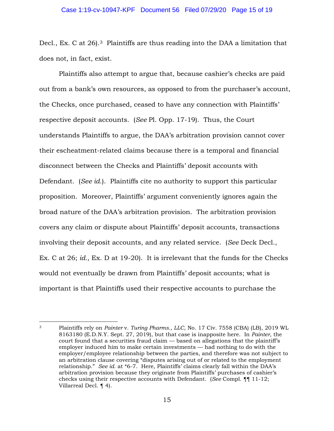Decl., Ex. C at 26.<sup>3</sup> Plaintiffs are thus reading into the DAA a limitation that does not, in fact, exist.

Plaintiffs also attempt to argue that, because cashier's checks are paid out from a bank's own resources, as opposed to from the purchaser's account, the Checks, once purchased, ceased to have any connection with Plaintiffs' respective deposit accounts. (*See* Pl. Opp. 17-19). Thus, the Court understands Plaintiffs to argue, the DAA's arbitration provision cannot cover their escheatment-related claims because there is a temporal and financial disconnect between the Checks and Plaintiffs' deposit accounts with Defendant. (*See id*.). Plaintiffs cite no authority to support this particular proposition. Moreover, Plaintiffs' argument conveniently ignores again the broad nature of the DAA's arbitration provision. The arbitration provision covers any claim or dispute about Plaintiffs' deposit accounts, transactions involving their deposit accounts, and any related service. (*See* Deck Decl., Ex. C at 26; *id.*, Ex. D at 19-20). It is irrelevant that the funds for the Checks would not eventually be drawn from Plaintiffs' deposit accounts; what is important is that Plaintiffs used their respective accounts to purchase the

<sup>3</sup> Plaintiffs rely on *Painter* v. *Turing Pharms., LLC*, No. 17 Civ. 7558 (CBA) (LB), 2019 WL 8163180 (E.D.N.Y. Sept. 27, 2019), but that case is inapposite here. In *Painter*, the court found that a securities fraud claim — based on allegations that the plaintiff's employer induced him to make certain investments — had nothing to do with the employer/employee relationship between the parties, and therefore was not subject to an arbitration clause covering "disputes arising out of or related to the employment relationship." *See id.* at \*6-7. Here, Plaintiffs' claims clearly fall within the DAA's arbitration provision because they originate from Plaintiffs' purchases of cashier's checks using their respective accounts with Defendant. (*See* Compl. ¶¶ 11-12; Villarreal Decl. ¶ 4).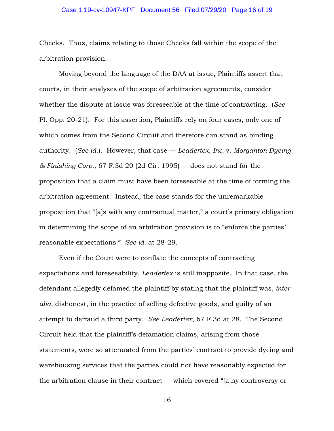### Case 1:19-cv-10947-KPF Document 56 Filed 07/29/20 Page 16 of 19

Checks. Thus, claims relating to those Checks fall within the scope of the arbitration provision.

Moving beyond the language of the DAA at issue, Plaintiffs assert that courts, in their analyses of the scope of arbitration agreements, consider whether the dispute at issue was foreseeable at the time of contracting. (*See*  Pl. Opp. 20-21). For this assertion, Plaintiffs rely on four cases, only one of which comes from the Second Circuit and therefore can stand as binding authority. (*See id*.). However, that case — *Leadertex, Inc.* v. *Morganton Dyeing & Finishing Corp.*, 67 F.3d 20 (2d Cir. 1995) — does not stand for the proposition that a claim must have been foreseeable at the time of forming the arbitration agreement. Instead, the case stands for the unremarkable proposition that "[a]s with any contractual matter," a court's primary obligation in determining the scope of an arbitration provision is to "enforce the parties' reasonable expectations." *See id.* at 28-29.

Even if the Court were to conflate the concepts of contracting expectations and foreseeability, *Leadertex* is still inapposite. In that case, the defendant allegedly defamed the plaintiff by stating that the plaintiff was, *inter alia*, dishonest, in the practice of selling defective goods, and guilty of an attempt to defraud a third party. *See Leadertex*, 67 F.3d at 28. The Second Circuit held that the plaintiff's defamation claims, arising from those statements, were so attenuated from the parties' contract to provide dyeing and warehousing services that the parties could not have reasonably expected for the arbitration clause in their contract — which covered "[a]ny controversy or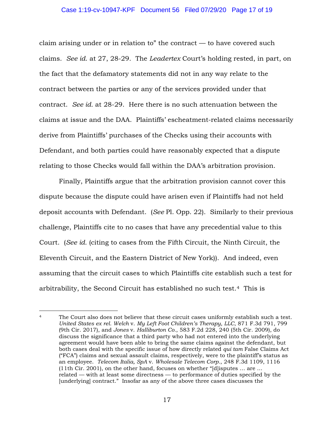### Case 1:19-cv-10947-KPF Document 56 Filed 07/29/20 Page 17 of 19

claim arising under or in relation to" the contract — to have covered such claims. *See id*. at 27, 28-29. The *Leadertex* Court's holding rested, in part, on the fact that the defamatory statements did not in any way relate to the contract between the parties or any of the services provided under that contract. *See id.* at 28-29. Here there is no such attenuation between the claims at issue and the DAA. Plaintiffs' escheatment-related claims necessarily derive from Plaintiffs' purchases of the Checks using their accounts with Defendant, and both parties could have reasonably expected that a dispute relating to those Checks would fall within the DAA's arbitration provision.

Finally, Plaintiffs argue that the arbitration provision cannot cover this dispute because the dispute could have arisen even if Plaintiffs had not held deposit accounts with Defendant. (*See* Pl. Opp. 22). Similarly to their previous challenge, Plaintiffs cite to no cases that have any precedential value to this Court. (*See id.* (citing to cases from the Fifth Circuit, the Ninth Circuit, the Eleventh Circuit, and the Eastern District of New York)). And indeed, even assuming that the circuit cases to which Plaintiffs cite establish such a test for arbitrability, the Second Circuit has established no such test.4 This is

<sup>&</sup>lt;sup>4</sup> The Court also does not believe that these circuit cases uniformly establish such a test. *United States ex rel. Welch* v. *My Left Foot Children's Therapy, LLC*, 871 F.3d 791, 799 (9th Cir. 2017), and *Jones* v. *Halliburton Co.*, 583 F.2d 228, 240 (5th Cir. 2009), do discuss the significance that a third party who had not entered into the underlying agreement would have been able to bring the same claims against the defendant, but both cases deal with the specific issue of how directly related *qui tam* False Claims Act ("FCA") claims and sexual assault claims, respectively, were to the plaintiff's status as an employee. *Telecom Italia, SpA* v. *Wholesale Telecom Corp.*, 248 F.3d 1109, 1116 (11th Cir. 2001), on the other hand, focuses on whether "[d]isputes … are … related — with at least some directness — to performance of duties specified by the [underlying] contract." Insofar as any of the above three cases discusses the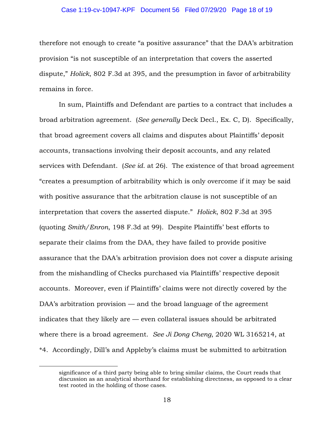### Case 1:19-cv-10947-KPF Document 56 Filed 07/29/20 Page 18 of 19

therefore not enough to create "a positive assurance" that the DAA's arbitration provision "is not susceptible of an interpretation that covers the asserted dispute," *Holick*, 802 F.3d at 395, and the presumption in favor of arbitrability remains in force.

In sum, Plaintiffs and Defendant are parties to a contract that includes a broad arbitration agreement. (*See generally* Deck Decl., Ex. C, D). Specifically, that broad agreement covers all claims and disputes about Plaintiffs' deposit accounts, transactions involving their deposit accounts, and any related services with Defendant. (*See id.* at 26). The existence of that broad agreement "creates a presumption of arbitrability which is only overcome if it may be said with positive assurance that the arbitration clause is not susceptible of an interpretation that covers the asserted dispute." *Holick*, 802 F.3d at 395 (quoting *Smith/Enron*, 198 F.3d at 99). Despite Plaintiffs' best efforts to separate their claims from the DAA, they have failed to provide positive assurance that the DAA's arbitration provision does not cover a dispute arising from the mishandling of Checks purchased via Plaintiffs' respective deposit accounts. Moreover, even if Plaintiffs' claims were not directly covered by the DAA's arbitration provision — and the broad language of the agreement indicates that they likely are — even collateral issues should be arbitrated where there is a broad agreement. *See Ji Dong Cheng*, 2020 WL 3165214, at \*4. Accordingly, Dill's and Appleby's claims must be submitted to arbitration

significance of a third party being able to bring similar claims, the Court reads that discussion as an analytical shorthand for establishing directness, as opposed to a clear test rooted in the holding of those cases.